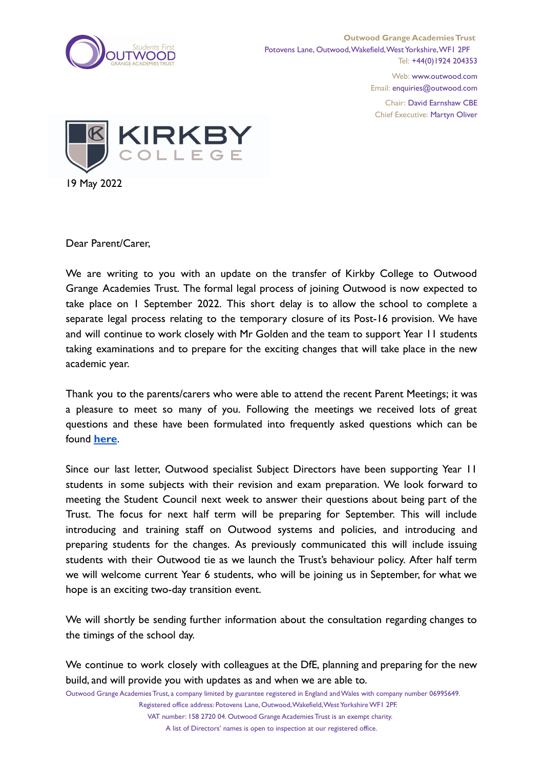

Web: www.outwood.com Email: enquiries@outwood.com

Chair: David Earnshaw CBE Chief Executive: Martyn Oliver



Dear Parent/Carer,

We are writing to you with an update on the transfer of Kirkby College to Outwood Grange Academies Trust. The formal legal process of joining Outwood is now expected to take place on 1 September 2022. This short delay is to allow the school to complete a separate legal process relating to the temporary closure of its Post-16 provision. We have and will continue to work closely with Mr Golden and the team to support Year 11 students taking examinations and to prepare for the exciting changes that will take place in the new academic year.

Thank you to the parents/carers who were able to attend the recent Parent Meetings; it was a pleasure to meet so many of you. Following the meetings we received lots of great questions and these have been formulated into frequently asked questions which can be found **[here](https://sites.google.com/outwood.com/kirkbyparentalfaqs)**.

Since our last letter, Outwood specialist Subject Directors have been supporting Year 11 students in some subjects with their revision and exam preparation. We look forward to meeting the Student Council next week to answer their questions about being part of the Trust. The focus for next half term will be preparing for September. This will include introducing and training staff on Outwood systems and policies, and introducing and preparing students for the changes. As previously communicated this will include issuing students with their Outwood tie as we launch the Trust's behaviour policy. After half term we will welcome current Year 6 students, who will be joining us in September, for what we hope is an exciting two-day transition event.

We will shortly be sending further information about the consultation regarding changes to the timings of the school day.

We continue to work closely with colleagues at the DfE, planning and preparing for the new build, and will provide you with updates as and when we are able to.

Outwood Grange Academies Trust, a company limited by guarantee registered in England andWales with company number 06995649.

Registered office address: Potovens Lane, Outwood, Wakefield, West Yorkshire WF1 2PF. VAT number: 158 2720 04. Outwood Grange Academies Trust is an exempt charity.

A list of Directors' names is open to inspection at our registered office.